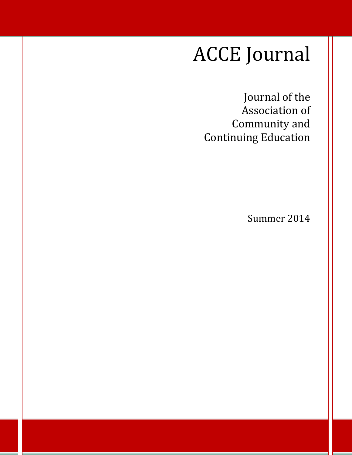## ACCE Journal

Journal of the Association of Community and Continuing Education

Summer 2014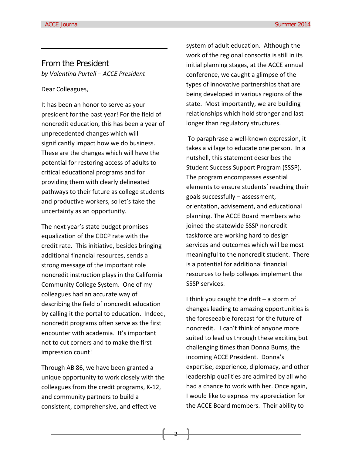#### From the President *by Valentina Purtell – ACCE President*

#### Dear Colleagues,

It has been an honor to serve as your president for the past year! For the field of noncredit education, this has been a year of unprecedented changes which will significantly impact how we do business. These are the changes which will have the potential for restoring access of adults to critical educational programs and for providing them with clearly delineated pathways to their future as college students and productive workers, so let's take the uncertainty as an opportunity.

The next year's state budget promises equalization of the CDCP rate with the credit rate. This initiative, besides bringing additional financial resources, sends a strong message of the important role noncredit instruction plays in the California Community College System. One of my colleagues had an accurate way of describing the field of noncredit education by calling it the portal to education. Indeed, noncredit programs often serve as the first encounter with academia. It's important not to cut corners and to make the first impression count!

Through AB 86, we have been granted a unique opportunity to work closely with the colleagues from the credit programs, K-12, and community partners to build a consistent, comprehensive, and effective

system of adult education. Although the work of the regional consortia is still in its initial planning stages, at the ACCE annual conference, we caught a glimpse of the types of innovative partnerships that are being developed in various regions of the state. Most importantly, we are building relationships which hold stronger and last longer than regulatory structures.

To paraphrase a well-known expression, it takes a village to educate one person. In a nutshell, this statement describes the Student Success Support Program (SSSP). The program encompasses essential elements to ensure students' reaching their goals successfully – assessment, orientation, advisement, and educational planning. The ACCE Board members who joined the statewide SSSP noncredit taskforce are working hard to design services and outcomes which will be most meaningful to the noncredit student. There is a potential for additional financial resources to help colleges implement the SSSP services.

I think you caught the drift – a storm of changes leading to amazing opportunities is the foreseeable forecast for the future of noncredit. I can't think of anyone more suited to lead us through these exciting but challenging times than Donna Burns, the incoming ACCE President. Donna's expertise, experience, diplomacy, and other leadership qualities are admired by all who had a chance to work with her. Once again, I would like to express my appreciation for the ACCE Board members. Their ability to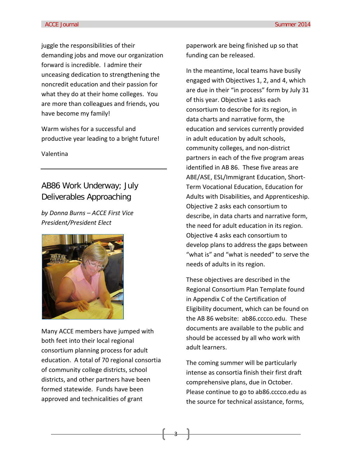juggle the responsibilities of their demanding jobs and move our organization forward is incredible. I admire their unceasing dedication to strengthening the noncredit education and their passion for what they do at their home colleges. You are more than colleagues and friends, you have become my family!

Warm wishes for a successful and productive year leading to a bright future!

Valentina

#### AB86 Work Underway; July Deliverables Approaching

*by Donna Burns – ACCE First Vice President/President Elect* 



Many ACCE members have jumped with both feet into their local regional consortium planning process for adult education. A total of 70 regional consortia of community college districts, school districts, and other partners have been formed statewide. Funds have been approved and technicalities of grant

paperwork are being finished up so that funding can be released.

In the meantime, local teams have busily engaged with Objectives 1, 2, and 4, which are due in their "in process" form by July 31 of this year. Objective 1 asks each consortium to describe for its region, in data charts and narrative form, the education and services currently provided in adult education by adult schools, community colleges, and non-district partners in each of the five program areas identified in AB 86. These five areas are ABE/ASE, ESL/Immigrant Education, Short-Term Vocational Education, Education for Adults with Disabilities, and Apprenticeship. Objective 2 asks each consortium to describe, in data charts and narrative form, the need for adult education in its region. Objective 4 asks each consortium to develop plans to address the gaps between "what is" and "what is needed" to serve the needs of adults in its region.

These objectives are described in the Regional Consortium Plan Template found in Appendix C of the Certification of Eligibility document, which can be found on the AB 86 website: ab86.cccco.edu. These documents are available to the public and should be accessed by all who work with adult learners.

The coming summer will be particularly intense as consortia finish their first draft comprehensive plans, due in October. Please continue to go to ab86.cccco.edu as the source for technical assistance, forms,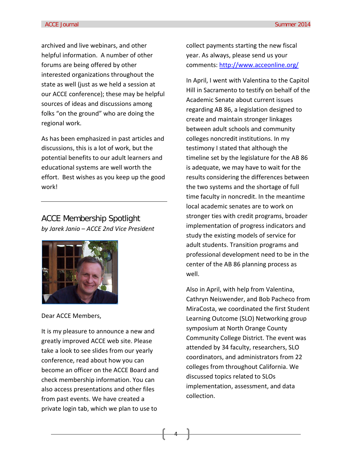archived and live webinars, and other helpful information. A number of other forums are being offered by other interested organizations throughout the state as well (just as we held a session at our ACCE conference); these may be helpful sources of ideas and discussions among folks "on the ground" who are doing the regional work.

As has been emphasized in past articles and discussions, this is a lot of work, but the potential benefits to our adult learners and educational systems are well worth the effort. Best wishes as you keep up the good work!

ACCE Membership Spotlight *by Jarek Janio – ACCE 2nd Vice President* 



Dear ACCE Members,

It is my pleasure to announce a new and greatly improved ACCE web site. Please take a look to see slides from our yearly conference, read about how you can become an officer on the ACCE Board and check membership information. You can also access presentations and other files from past events. We have created a private login tab, which we plan to use to

collect payments starting the new fiscal year. As always, please send us your comments:<http://www.acceonline.org/>

In April, I went with Valentina to the Capitol Hill in Sacramento to testify on behalf of the Academic Senate about current issues regarding AB 86, a legislation designed to create and maintain stronger linkages between adult schools and community colleges noncredit institutions. In my testimony I stated that although the timeline set by the legislature for the AB 86 is adequate, we may have to wait for the results considering the differences between the two systems and the shortage of full time faculty in noncredit. In the meantime local academic senates are to work on stronger ties with credit programs, broader implementation of progress indicators and study the existing models of service for adult students. Transition programs and professional development need to be in the center of the AB 86 planning process as well.

Also in April, with help from Valentina, Cathryn Neiswender, and Bob Pacheco from MiraCosta, we coordinated the first Student Learning Outcome (SLO) Networking group symposium at North Orange County Community College District. The event was attended by 34 faculty, researchers, SLO coordinators, and administrators from 22 colleges from throughout California. We discussed topics related to SLOs implementation, assessment, and data collection.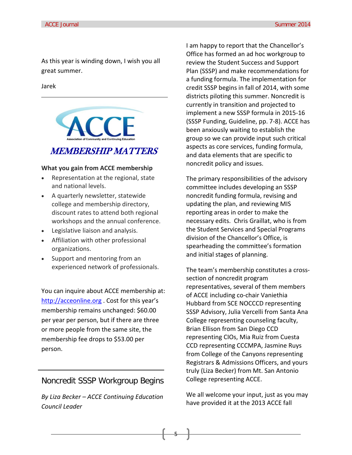As this year is winding down, I wish you all great summer.

Jarek

# MEMBERSHIP MATTERS

#### **What you gain from ACCE membership**

- Representation at the regional, state and national levels.
- A quarterly newsletter, statewide college and membership directory, discount rates to attend both regional workshops and the annual conference.
- Legislative liaison and analysis.
- Affiliation with other professional organizations.
- Support and mentoring from an experienced network of professionals.

You can inquire about ACCE membership at: [http://acceonline.org](http://acceonline.org/) . Cost for this year's membership remains unchanged: \$60.00 per year per person, but if there are three or more people from the same site, the membership fee drops to \$53.00 per person.

#### Noncredit SSSP Workgroup Begins

*By Liza Becker – ACCE Continuing Education Council Leader*

I am happy to report that the Chancellor's Office has formed an ad hoc workgroup to review the Student Success and Support Plan (SSSP) and make recommendations for a funding formula. The implementation for credit SSSP begins in fall of 2014, with some districts piloting this summer. Noncredit is currently in transition and projected to implement a new SSSP formula in 2015-16 (SSSP Funding, Guideline, pp. 7-8). ACCE has been anxiously waiting to establish the group so we can provide input such critical aspects as core services, funding formula, and data elements that are specific to noncredit policy and issues.

The primary responsibilities of the advisory committee includes developing an SSSP noncredit funding formula, revising and updating the plan, and reviewing MIS reporting areas in order to make the necessary edits. Chris Graillat, who is from the Student Services and Special Programs division of the Chancellor's Office, is spearheading the committee's formation and initial stages of planning.

The team's membership constitutes a crosssection of noncredit program representatives, several of them members of ACCE including co-chair Vaniethia Hubbard from SCE NOCCCD representing SSSP Advisory, Julia Vercelli from Santa Ana College representing counseling faculty, Brian Ellison from San Diego CCD representing CIOs, Mia Ruiz from Cuesta CCD representing CCCMPA, Jasmine Ruys from College of the Canyons representing Registrars & Admissions Officers, and yours truly (Liza Becker) from Mt. San Antonio College representing ACCE.

We all welcome your input, just as you may have provided it at the 2013 ACCE fall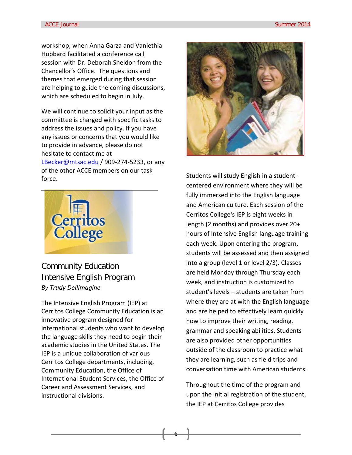workshop, when Anna Garza and Vaniethia Hubbard facilitated a conference call session with Dr. Deborah Sheldon from the Chancellor's Office. The questions and themes that emerged during that session are helping to guide the coming discussions, which are scheduled to begin in July.

We will continue to solicit your input as the committee is charged with specific tasks to address the issues and policy. If you have any issues or concerns that you would like to provide in advance, please do not hesitate to contact me at [LBecker@mtsac.edu](mailto:LBecker@mtsac.edu) / 909-274-5233, or any of the other ACCE members on our task force.



Community Education Intensive English Program *By Trudy Dellimagine* 

The Intensive English Program (IEP) at Cerritos College Community Education is an innovative program designed for international students who want to develop the language skills they need to begin their academic studies in the United States. The IEP is a unique collaboration of various Cerritos College departments, including, Community Education, the Office of International Student Services, the Office of Career and Assessment Services, and instructional divisions.



Students will study English in a studentcentered environment where they will be fully immersed into the English language and American culture. Each session of the Cerritos College's IEP is eight weeks in length (2 months) and provides over 20+ hours of Intensive English language training each week. Upon entering the program, students will be assessed and then assigned into a group (level 1 or level 2/3). Classes are held Monday through Thursday each week, and instruction is customized to student's levels – students are taken from where they are at with the English language and are helped to effectively learn quickly how to improve their writing, reading, grammar and speaking abilities. Students are also provided other opportunities outside of the classroom to practice what they are learning, such as field trips and conversation time with American students.

Throughout the time of the program and upon the initial registration of the student, the IEP at Cerritos College provides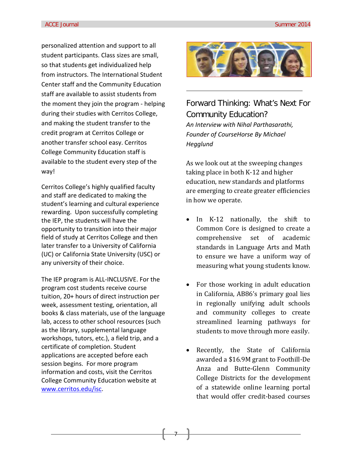personalized attention and support to all student participants. Class sizes are small, so that students get individualized help from instructors. The International Student Center staff and the Community Education staff are available to assist students from the moment they join the program - helping during their studies with Cerritos College, and making the student transfer to the credit program at Cerritos College or another transfer school easy. Cerritos College Community Education staff is available to the student every step of the way!

Cerritos College's highly qualified faculty and staff are dedicated to making the student's learning and cultural experience rewarding. Upon successfully completing the IEP, the students will have the opportunity to transition into their major field of study at Cerritos College and then later transfer to a University of California (UC) or California State University (USC) or any university of their choice.

The IEP program is ALL-INCLUSIVE. For the program cost students receive course tuition, 20+ hours of direct instruction per week, assessment testing, orientation, all books & class materials, use of the language lab, access to other school resources (such as the library, supplemental language workshops, tutors, etc.), a field trip, and a certificate of completion. Student applications are accepted before each session begins. For more program information and costs, visit the Cerritos College Community Education website at [www.cerritos.edu/isc.](http://www.cerritos.edu/isc)



Forward Thinking: What's Next For Community Education? *An Interview with Nihal Parthasarathi, Founder of CourseHorse By Michael Hegglund*

As we look out at the sweeping changes taking place in both K-12 and higher education, new standards and platforms are emerging to create greater efficiencies in how we operate.

- In K-12 nationally, the shift to Common Core is designed to create a comprehensive set of academic standards in Language Arts and Math to ensure we have a uniform way of measuring what young students know.
- For those working in adult education in California, AB86's primary goal lies in regionally unifying adult schools and community colleges to create streamlined learning pathways for students to move through more easily.
- Recently, the State of California awarded a \$16.9M grant to Foothill-De Anza and Butte-Glenn Community College Districts for the development of a statewide online learning portal that would offer credit-based courses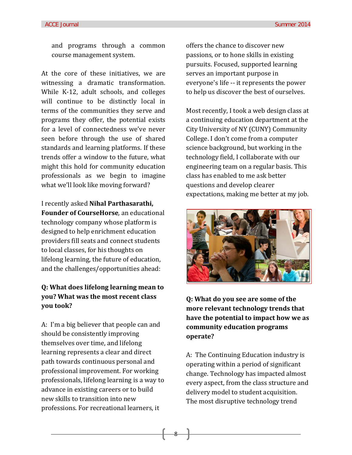and programs through a common course management system.

At the core of these initiatives, we are witnessing a dramatic transformation. While K-12, adult schools, and colleges will continue to be distinctly local in terms of the communities they serve and programs they offer, the potential exists for a level of connectedness we've never seen before through the use of shared standards and learning platforms. If these trends offer a window to the future, what might this hold for community education professionals as we begin to imagine what we'll look like moving forward?

I recently asked **Nihal Parthasarathi, Founder of CourseHorse***,* an educational technology company whose platform is designed to help enrichment education providers fill seats and connect students to local classes, for his thoughts on lifelong learning, the future of education, and the challenges/opportunities ahead:

#### **Q: What does lifelong learning mean to you? What was the most recent class you took?**

A: I'm a big believer that people can and should be consistently improving themselves over time, and lifelong learning represents a clear and direct path towards continuous personal and professional improvement. For working professionals, lifelong learning is a way to advance in existing careers or to build new skills to transition into new professions. For recreational learners, it

offers the chance to discover new passions, or to hone skills in existing pursuits. Focused, supported learning serves an important purpose in everyone's life -- it represents the power to help us discover the best of ourselves.

Most recently, I took a web design class at a continuing education department at the City University of NY (CUNY) Community College. I don't come from a computer science background, but working in the technology field, I collaborate with our engineering team on a regular basis. This class has enabled to me ask better questions and develop clearer expectations, making me better at my job.



**Q: What do you see are some of the more relevant technology trends that have the potential to impact how we as community education programs operate?**

A: The Continuing Education industry is operating within a period of significant change. Technology has impacted almost every aspect, from the class structure and delivery model to student acquisition. The most disruptive technology trend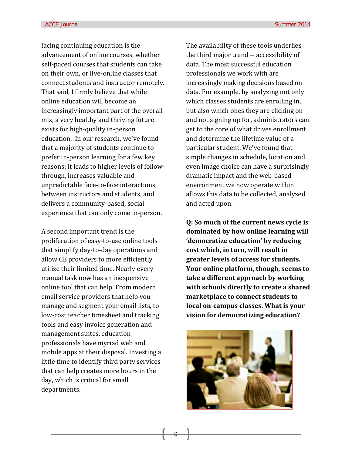facing continuing education is the advancement of online courses, whether self-paced courses that students can take on their own, or live-online classes that connect students and instructor remotely. That said, I firmly believe that while online education will become an increasingly important part of the overall mix, a very healthy and thriving future exists for high-quality in-person education. In our research, we've found that a majority of students continue to prefer in-person learning for a few key reasons: it leads to higher levels of followthrough, increases valuable and unpredictable face-to-face interactions between instructors and students, and delivers a community-based, social experience that can only come in-person.

A second important trend is the proliferation of easy-to-use online tools that simplify day-to-day operations and allow CE providers to more efficiently utilize their limited time. Nearly every manual task now has an inexpensive online tool that can help. From modern email service providers that help you manage and segment your email lists, to low-cost teacher timesheet and tracking tools and easy invoice generation and management suites, education professionals have myriad web and mobile apps at their disposal. Investing a little time to identify third party services that can help creates more hours in the day, which is critical for small departments.

The availability of these tools underlies the third major trend -- accessibility of data. The most successful education professionals we work with are increasingly making decisions based on data. For example, by analyzing not only which classes students are enrolling in, but also which ones they are clicking on and not signing up for, administrators can get to the core of what drives enrollment and determine the lifetime value of a particular student. We've found that simple changes in schedule, location and even image choice can have a surprisingly dramatic impact and the web-based environment we now operate within allows this data to be collected, analyzed and acted upon.

**Q: So much of the current news cycle is dominated by how online learning will 'democratize education' by reducing cost which, in turn, will result in greater levels of access for students. Your online platform, though, seems to take a different approach by working with schools directly to create a shared marketplace to connect students to local on-campus classes. What is your vision for democratizing education?**

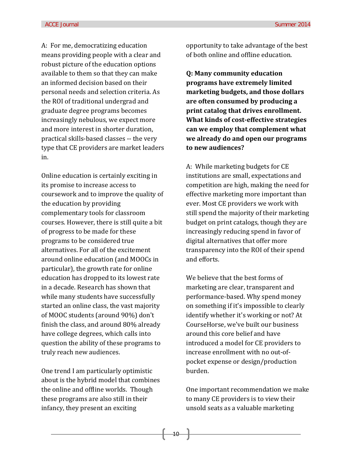A: For me, democratizing education means providing people with a clear and robust picture of the education options available to them so that they can make an informed decision based on their personal needs and selection criteria. As the ROI of traditional undergrad and graduate degree programs becomes increasingly nebulous, we expect more and more interest in shorter duration, practical skills-based classes -- the very type that CE providers are market leaders in.

Online education is certainly exciting in its promise to increase access to coursework and to improve the quality of the education by providing complementary tools for classroom courses. However, there is still quite a bit of progress to be made for these programs to be considered true alternatives. For all of the excitement around online education (and MOOCs in particular), the growth rate for online education has dropped to its lowest rate in a decade. Research has shown that while many students have successfully started an online class, the vast majority of MOOC students (around 90%) don't finish the class, and around 80% already have college degrees, which calls into question the ability of these programs to truly reach new audiences.

One trend I am particularly optimistic about is the hybrid model that combines the online and offline worlds. Though these programs are also still in their infancy, they present an exciting

opportunity to take advantage of the best of both online and offline education.

**Q: Many community education programs have extremely limited marketing budgets, and those dollars are often consumed by producing a print catalog that drives enrollment. What kinds of cost-effective strategies can we employ that complement what we already do and open our programs to new audiences?**

A: While marketing budgets for CE institutions are small, expectations and competition are high, making the need for effective marketing more important than ever. Most CE providers we work with still spend the majority of their marketing budget on print catalogs, though they are increasingly reducing spend in favor of digital alternatives that offer more transparency into the ROI of their spend and efforts.

We believe that the best forms of marketing are clear, transparent and performance-based. Why spend money on something if it's impossible to clearly identify whether it's working or not? At CourseHorse, we've built our business around this core belief and have introduced a model for CE providers to increase enrollment with no out-ofpocket expense or design/production burden.

One important recommendation we make to many CE providers is to view their unsold seats as a valuable marketing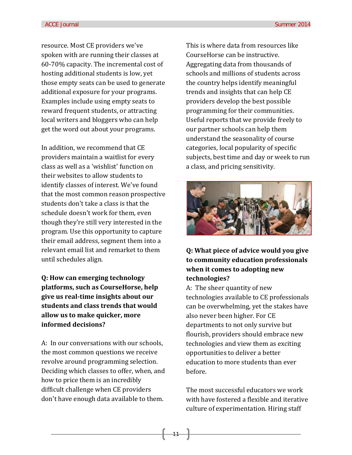resource. Most CE providers we've spoken with are running their classes at 60-70% capacity. The incremental cost of hosting additional students is low, yet those empty seats can be used to generate additional exposure for your programs. Examples include using empty seats to reward frequent students, or attracting local writers and bloggers who can help get the word out about your programs.

In addition, we recommend that CE providers maintain a waitlist for every class as well as a 'wishlist' function on their websites to allow students to identify classes of interest. We've found that the most common reason prospective students don't take a class is that the schedule doesn't work for them, even though they're still very interested in the program. Use this opportunity to capture their email address, segment them into a relevant email list and remarket to them until schedules align.

**Q: How can emerging technology platforms, such as CourseHorse, help give us real-time insights about our students and class trends that would allow us to make quicker, more informed decisions?**

A: In our conversations with our schools, the most common questions we receive revolve around programming selection. Deciding which classes to offer, when, and how to price them is an incredibly difficult challenge when CE providers don't have enough data available to them.

This is where data from resources like CourseHorse can be instructive. Aggregating data from thousands of schools and millions of students across the country helps identify meaningful trends and insights that can help CE providers develop the best possible programming for their communities. Useful reports that we provide freely to our partner schools can help them understand the seasonality of course categories, local popularity of specific subjects, best time and day or week to run a class, and pricing sensitivity.



**Q: What piece of advice would you give to community education professionals when it comes to adopting new technologies?**

A: The sheer quantity of new technologies available to CE professionals can be overwhelming, yet the stakes have also never been higher. For CE departments to not only survive but flourish, providers should embrace new technologies and view them as exciting opportunities to deliver a better education to more students than ever before.

The most successful educators we work with have fostered a flexible and iterative culture of experimentation. Hiring staff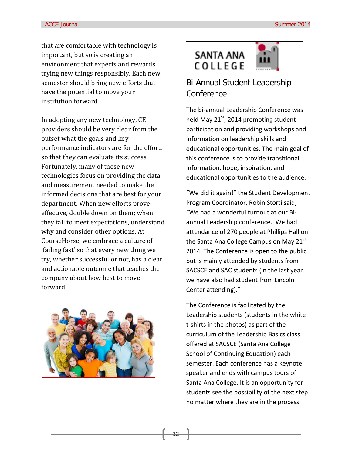that are comfortable with technology is important, but so is creating an environment that expects and rewards trying new things responsibly. Each new semester should bring new efforts that have the potential to move your institution forward.

In adopting any new technology, CE providers should be very clear from the outset what the goals and key performance indicators are for the effort, so that they can evaluate its success. Fortunately, many of these new technologies focus on providing the data and measurement needed to make the informed decisions that are best for your department. When new efforts prove effective, double down on them; when they fail to meet expectations, understand why and consider other options. At CourseHorse, we embrace a culture of 'failing fast' so that every new thing we try, whether successful or not, has a clear and actionable outcome that teaches the company about how best to move forward.



### **SANTA ANA** COLLEGE



#### Bi-Annual Student Leadership **Conference**

The bi-annual Leadership Conference was held May 21<sup>st</sup>, 2014 promoting student participation and providing workshops and information on leadership skills and educational opportunities. The main goal of this conference is to provide transitional information, hope, inspiration, and educational opportunities to the audience.

"We did it again!" the Student Development Program Coordinator, Robin Storti said, "We had a wonderful turnout at our Biannual Leadership conference. We had attendance of 270 people at Phillips Hall on the Santa Ana College Campus on May 21 $^{\rm st}$ 2014. The Conference is open to the public but is mainly attended by students from SACSCE and SAC students (in the last year we have also had student from Lincoln Center attending)."

The Conference is facilitated by the Leadership students (students in the white t-shirts in the photos) as part of the curriculum of the Leadership Basics class offered at SACSCE (Santa Ana College School of Continuing Education) each semester. Each conference has a keynote speaker and ends with campus tours of Santa Ana College. It is an opportunity for students see the possibility of the next step no matter where they are in the process.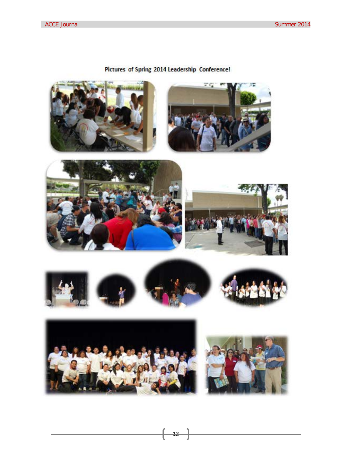#### Pictures of Spring 2014 Leadership Conference!

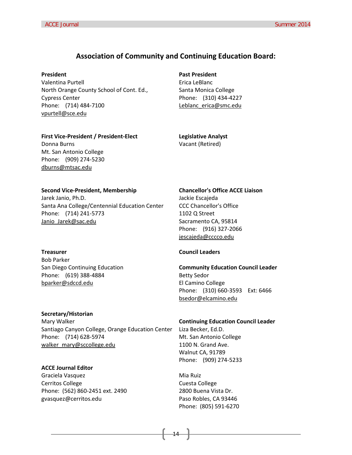#### **Association of Community and Continuing Education Board:**

#### **President**

Valentina Purtell North Orange County School of Cont. Ed., Cypress Center Phone: (714) 484-7100 [vpurtell@sce.edu](mailto:vpurtell@sce.edu)

**Past President** Erica LeBlanc Santa Monica College Phone: (310) 434-4227 [Leblanc\\_erica@smc.edu](mailto:Leblanc_erica@smc.edu)

#### **First Vice-President / President-Elect** Donna Burns

Mt. San Antonio College Phone: (909) 274-5230 [dburns@mtsac.edu](mailto:dburns@mtsac.edu)

**Legislative Analyst** Vacant (Retired)

#### **Second Vice-President, Membership**

Jarek Janio, Ph.D. Santa Ana College/Centennial Education Center Phone: (714) 241-5773 [Janio\\_Jarek@sac.edu](mailto:Janio_Jarek@sac.edu)

#### **Treasurer**

Bob Parker San Diego Continuing Education Phone: (619) 388-4884 [bparker@sdccd.edu](mailto:bparker@sdccd.edu)

#### **Secretary/Historian**

Mary Walker Santiago Canyon College, Orange Education Center Phone: (714) 628-5974 [walker\\_mary@sccollege.edu](mailto:walker_mary@sccollege.edu)

#### **ACCE Journal Editor** Graciela Vasquez Cerritos College Phone: (562) 860-2451 ext. 2490 gvasquez@cerritos.edu

#### **Chancellor's Office ACCE Liaison**

Jackie Escajeda CCC Chancellor's Office 1102 Q Street Sacramento CA, 95814 Phone: (916) 327-2066 [jescajeda@cccco.edu](mailto:jescajeda@cccco.edu)

#### **Council Leaders**

**Community Education Council Leader** Betty Sedor El Camino College Phone: (310) 660-3593 Ext: 6466 [bsedor@elcamino.edu](mailto:bsedor@elcamino.edu)

#### **Continuing Education Council Leader** Liza Becker, Ed.D.

Mt. San Antonio College 1100 N. Grand Ave. Walnut CA, 91789 Phone: (909) 274-5233

Mia Ruiz Cuesta College 2800 Buena Vista Dr. Paso Robles, CA 93446 Phone: (805) 591-6270